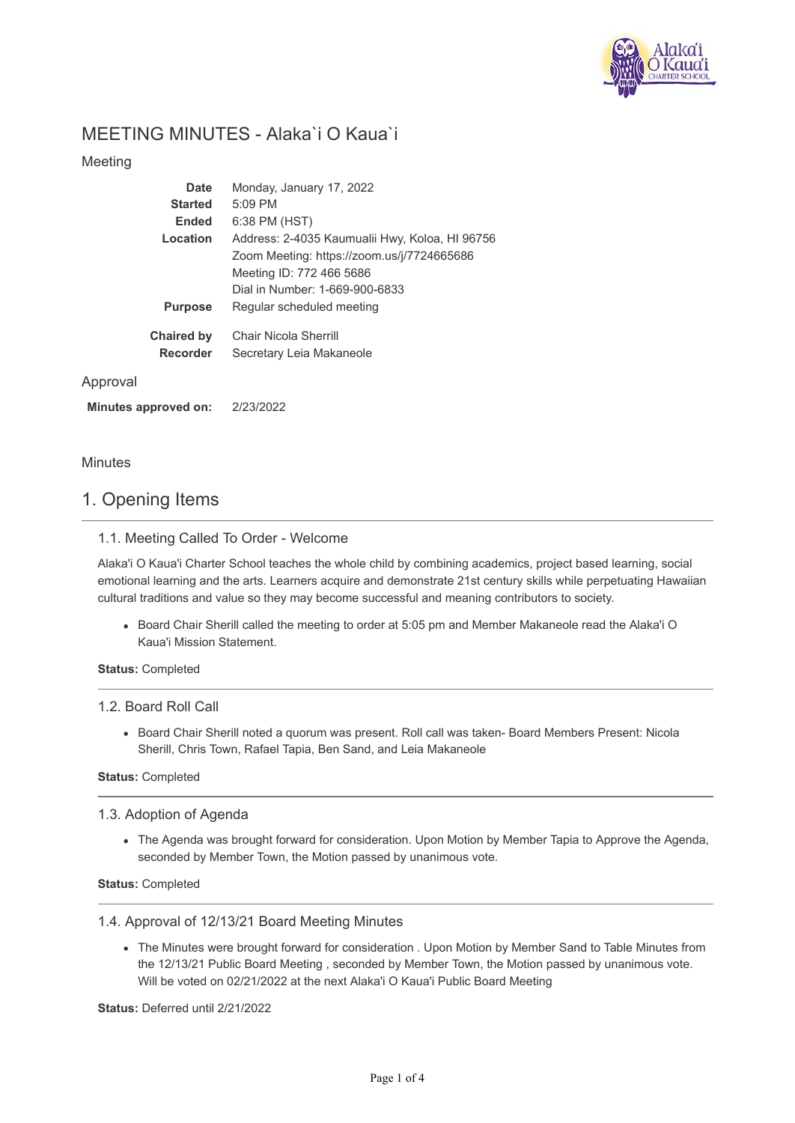

# MEETING MINUTES - Alaka`i O Kaua`i

## Meeting

| Date              | Monday, January 17, 2022                       |
|-------------------|------------------------------------------------|
| <b>Started</b>    | $5:09$ PM                                      |
| <b>Ended</b>      | 6:38 PM (HST)                                  |
| Location          | Address: 2-4035 Kaumualii Hwy, Koloa, HI 96756 |
|                   | Zoom Meeting: https://zoom.us/j/7724665686     |
|                   | Meeting ID: 772 466 5686                       |
|                   | Dial in Number: 1-669-900-6833                 |
| <b>Purpose</b>    | Regular scheduled meeting                      |
| <b>Chaired by</b> | Chair Nicola Sherrill                          |
| Recorder          | Secretary Leia Makaneole                       |
|                   |                                                |

### Approval

**Minutes approved on:** 2/23/2022

Minutes

# 1. Opening Items

### 1.1. Meeting Called To Order - Welcome

Alaka'i O Kaua'i Charter School teaches the whole child by combining academics, project based learning, social emotional learning and the arts. Learners acquire and demonstrate 21st century skills while perpetuating Hawaiian cultural traditions and value so they may become successful and meaning contributors to society.

Board Chair Sherill called the meeting to order at 5:05 pm and Member Makaneole read the Alaka'i O Kaua'i Mission Statement.

**Status:** Completed

### 1.2. Board Roll Call

Board Chair Sherill noted a quorum was present. Roll call was taken- Board Members Present: Nicola Sherill, Chris Town, Rafael Tapia, Ben Sand, and Leia Makaneole

### **Status:** Completed

1.3. Adoption of Agenda

The Agenda was brought forward for consideration. Upon Motion by Member Tapia to Approve the Agenda, seconded by Member Town, the Motion passed by unanimous vote.

### **Status:** Completed

### 1.4. Approval of 12/13/21 Board Meeting Minutes

The Minutes were brought forward for consideration . Upon Motion by Member Sand to Table Minutes from the 12/13/21 Public Board Meeting , seconded by Member Town, the Motion passed by unanimous vote. Will be voted on 02/21/2022 at the next Alaka'i O Kaua'i Public Board Meeting

**Status:** Deferred until 2/21/2022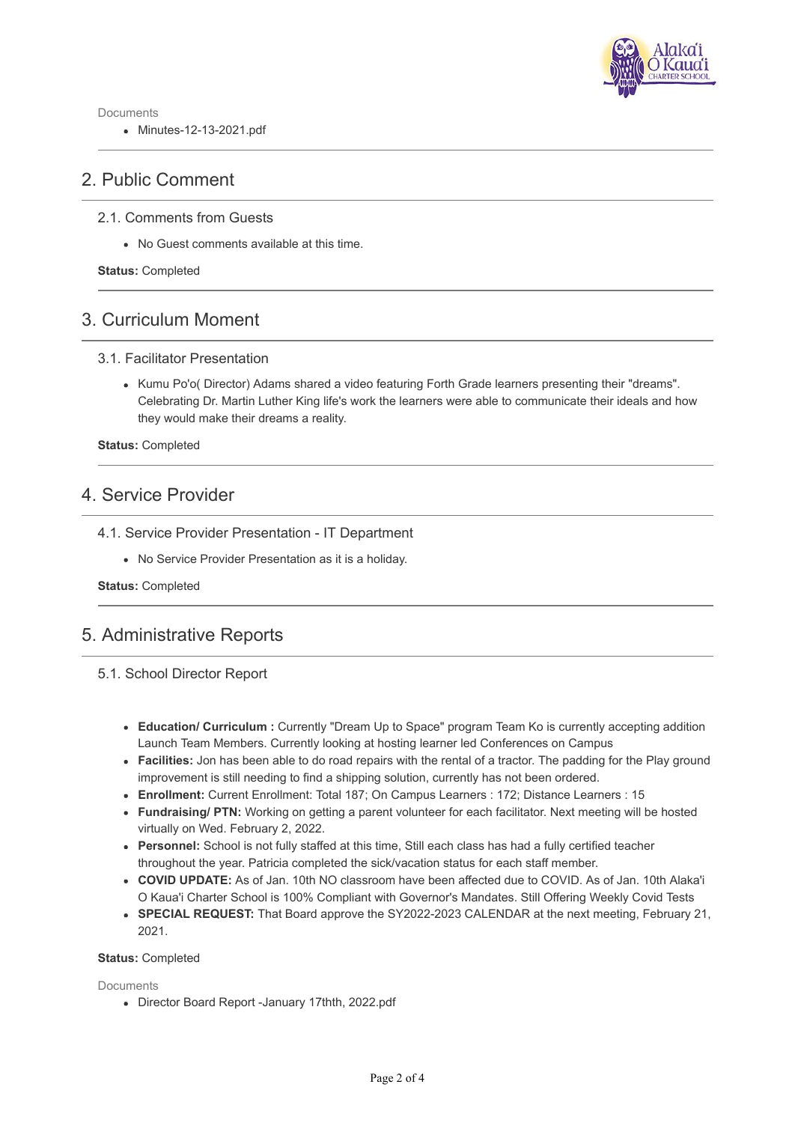

Documents

Minutes-12-13-2021.pdf

# 2. Public Comment

## 2.1. Comments from Guests

No Guest comments available at this time.

**Status:** Completed

# 3. Curriculum Moment

### 3.1. Facilitator Presentation

• Kumu Po'o( Director) Adams shared a video featuring Forth Grade learners presenting their "dreams". Celebrating Dr. Martin Luther King life's work the learners were able to communicate their ideals and how they would make their dreams a reality.

**Status:** Completed

# 4. Service Provider

- 4.1. Service Provider Presentation IT Department
	- No Service Provider Presentation as it is a holiday.

**Status:** Completed

# 5. Administrative Reports

## 5.1. School Director Report

- **Education/ Curriculum :** Currently "Dream Up to Space" program Team Ko is currently accepting addition Launch Team Members. Currently looking at hosting learner led Conferences on Campus
- **Facilities:** Jon has been able to do road repairs with the rental of a tractor. The padding for the Play ground improvement is still needing to find a shipping solution, currently has not been ordered.
- **Enrollment:** Current Enrollment: Total 187; On Campus Learners : 172; Distance Learners : 15
- **Fundraising/ PTN:** Working on getting a parent volunteer for each facilitator. Next meeting will be hosted virtually on Wed. February 2, 2022.
- **Personnel:** School is not fully staffed at this time, Still each class has had a fully certified teacher throughout the year. Patricia completed the sick/vacation status for each staff member.
- **COVID UPDATE:** As of Jan. 10th NO classroom have been affected due to COVID. As of Jan. 10th Alaka'i O Kaua'i Charter School is 100% Compliant with Governor's Mandates. Still Offering Weekly Covid Tests
- **SPECIAL REQUEST:** That Board approve the SY2022-2023 CALENDAR at the next meeting, February 21, 2021.

### **Status:** Completed

**Documents** 

Director Board Report -January 17thth, 2022.pdf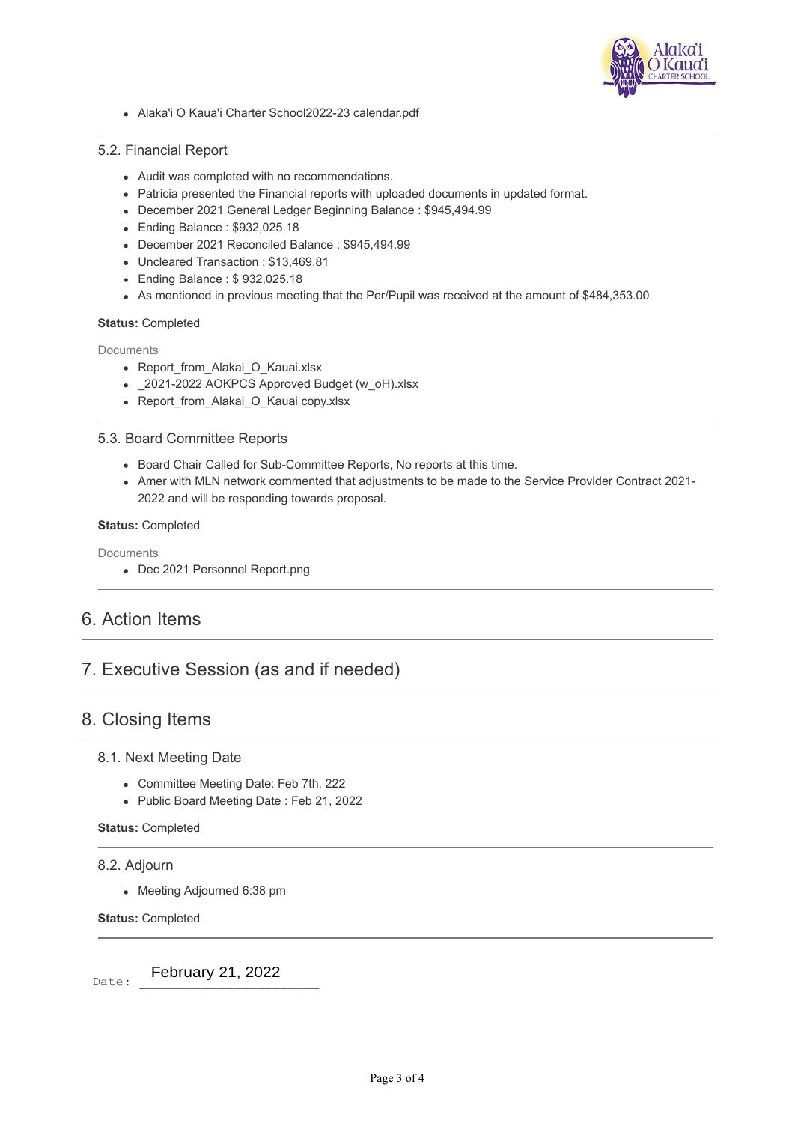

Alaka'i O Kaua'i Charter School2022-23 calendar.pdf

### 5.2. Financial Report

- Audit was completed with no recommendations.
- Patricia presented the Financial reports with uploaded documents in updated format.
- December 2021 General Ledger Beginning Balance : \$945,494.99
- Ending Balance : \$932,025.18
- December 2021 Reconciled Balance : \$945,494.99
- Uncleared Transaction : \$13,469.81
- Ending Balance : \$ 932,025.18
- As mentioned in previous meeting that the Per/Pupil was received at the amount of \$484,353.00

### **Status:** Completed

**Documents** 

- Report from Alakai O Kauai.xlsx
- $-$  2021-2022 AOKPCS Approved Budget (w\_oH).xlsx
- Report\_from\_Alakai\_O\_Kauai copy.xlsx

### 5.3. Board Committee Reports

- Board Chair Called for Sub-Committee Reports, No reports at this time.
- Amer with MLN network commented that adjustments to be made to the Service Provider Contract 2021- 2022 and will be responding towards proposal.

#### **Status:** Completed

**Documents** 

Dec 2021 Personnel Report.png

# 6. Action Items

# 7. Executive Session (as and if needed)

# 8. Closing Items

## 8.1. Next Meeting Date

- Committee Meeting Date: Feb 7th, 222
- Public Board Meeting Date : Feb 21, 2022

### **Status:** Completed

### 8.2. Adjourn

• Meeting Adjourned 6:38 pm

**Status:** Completed

Date: February 21, 2022